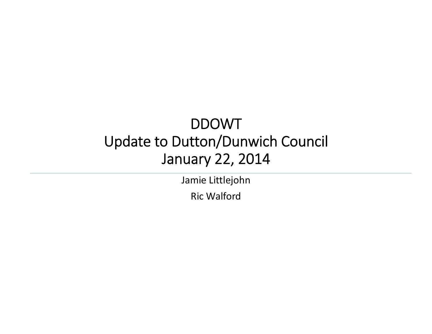#### DDOWT Update to Dutton/Dunwich Council January 22, 2014

Jamie Littlejohn

Ric Walford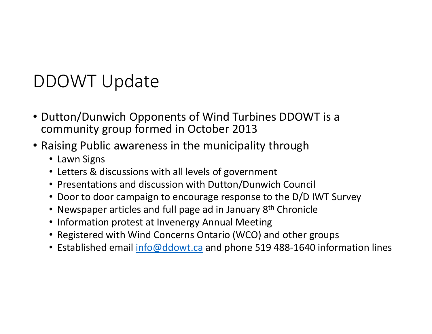# DDOWT Update

- Dutton/Dunwich Opponents of Wind Turbines DDOWT is <sup>a</sup> community group formed in October 2013
- Raising Public awareness in the municipality through
	- Lawn Signs
	- Letters & discussions with all levels of government
	- Presentations and discussion with Dutton/Dunwich Council
	- Door to door campaign to encourage response to the D/D IWT Survey
	- Newspaper articles and full page ad in January 8<sup>th</sup> Chronicle
	- Information protest at Invenergy Annual Meeting
	- Registered with Wind Concerns Ontario (WCO) and other groups
	- Established email <u>info@ddowt.ca</u> and phone 519 488-1640 information lines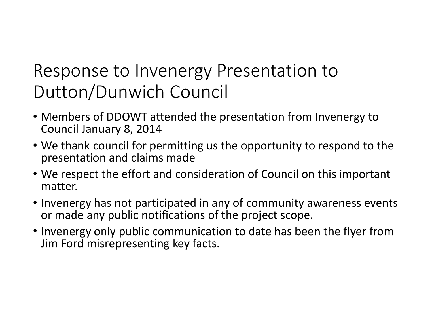# Response to Invenergy Presentation to Dutton/Dunwich Council

- Members of DDOWT attended the presentation from Invenergy to Council January 8, 2014
- We thank council for permitting us the opportunity to respond to the presentation and claims made
- We respect the effort and consideration of Council on this important matter.
- Invenergy has not participated in any of community awareness events or made any public notifications of the project scope.
- Invenergy only public communication to date has been the flyer from Jim Ford misrepresenting key facts.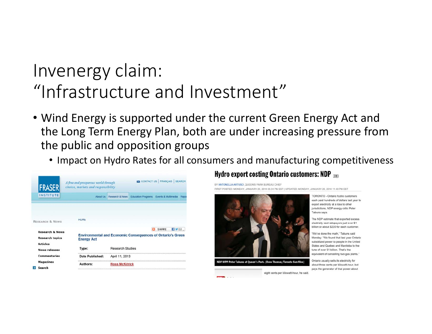## Invenergy claim: "Infrastructure and Investment"

- Wind Energy is supported under the current Green Energy Act and the Long Term Energy Plan, both are under increasing pressure from the public and opposition groups
	- Impact on Hydro Rates for all consumers and manufacturing competitiveness

| <b>FRASER</b>              | A free and prosperous world through<br>choice, markets and responsibility |                                                                   |  | CONTACT US : FRANCAIS :                | <b>SEARCH</b> |  |
|----------------------------|---------------------------------------------------------------------------|-------------------------------------------------------------------|--|----------------------------------------|---------------|--|
| <b>INSTITUTE</b>           | <b>About Us</b>                                                           | Research & News                                                   |  | Education Programs Events & Multimedia | Repo          |  |
|                            |                                                                           |                                                                   |  |                                        |               |  |
|                            | <b>HOME</b>                                                               |                                                                   |  |                                        |               |  |
| <b>RESEARCH &amp; NEWS</b> |                                                                           |                                                                   |  |                                        |               |  |
| <b>Research &amp; News</b> |                                                                           |                                                                   |  | SHARE                                  | <b>HYEL</b>   |  |
| <b>Research topics</b>     | <b>Energy Act</b>                                                         | <b>Environmental and Economic Consequences of Ontario's Green</b> |  |                                        |               |  |
| <b>Articles</b>            | Type:                                                                     | <b>Research Studies</b>                                           |  |                                        |               |  |
| <b>News releases</b>       |                                                                           |                                                                   |  |                                        |               |  |
| <b>Commentaries</b>        | <b>Date Published:</b>                                                    | April 11, 2013                                                    |  |                                        |               |  |
| <b>Magazines</b>           | Authors:                                                                  | <b>Ross McKitrick</b>                                             |  |                                        |               |  |
| <b>Search</b>              |                                                                           |                                                                   |  |                                        |               |  |

#### Hydro export costing Ontario customers: NDP

BY ANTONELLA ARTUSO , QUEEN'S PARK BUREAU CHIEF FIRST POSTED: MONDAY, JANUARY 20, 2014 05:24 PM EST | UPDATED: MONDAY, JANUARY 20, 2014 11:40 PM EST



**NDP MPP Peter Tabuns at Queen's Park. (Dave Thomas/Toronto Sun files)** 

eight cents per kilowatt-hour, he said.

TORONTO - Ontario hydro customers each paid hundreds of dollars last year to export electricity at a loss to other jurisdictions, NDP energy critic Peter Tabuns says

The NDP estimate that exported excess plectricity cost ratepayers just over \$1 billion or about \$220 for each custome

'We've done the math," Tabuns said Monday. "We found that last year Ontario subsidized power to people in the United States and Quebec and Manitoba to the tune of over \$1 billion. That's the equivalent of cancelling two gas plants

Ontario usually sells its electricity for about three cents per kilowatt-hour, but pays the generator of that power about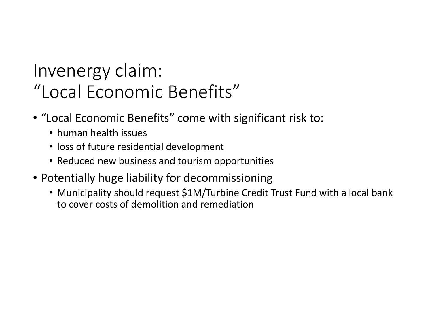# Invenergy claim: "Local Economic Benefits"

- "Local Economic Benefits" come with significant risk to:
	- human health issues
	- loss of future residential development
	- Reduced new business and tourism opportunities
- Potentially huge liability for decommissioning
	- Municipality should request \$1M/Turbine Credit Trust Fund with <sup>a</sup> local bank to cover costs of demolition and remediation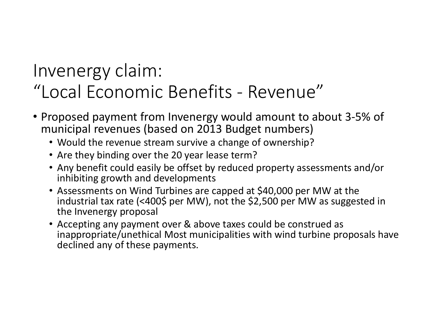## Invenergy claim: "Local Economic Benefits ‐ Revenue"

- Proposed payment from Invenergy would amount to about 3‐5% of municipal revenues (based on 2013 Budget numbers)
	- Would the revenue stream survive <sup>a</sup> change of ownership?
	- Are they binding over the 20 year lease term?
	- Any benefit could easily be offset by reduced property assessments and/or inhibiting growth and developments
	- Assessments on Wind Turbines are capped at \$40,000 per MW at the industrial tax rate (<400\$ per MW), not the \$2,500 per MW as suggested in the Invenergy proposal
	- Accepting any payment over & above taxes could be construed as inappropriate/unethical Most municipalities with wind turbine proposals have declined any of these payments.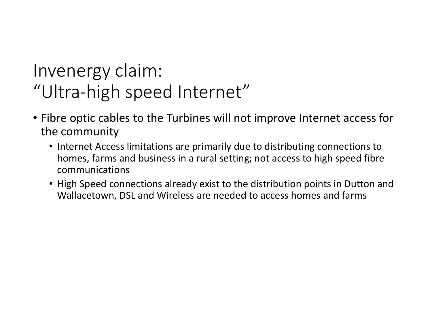## Invenergy claim: "Ultra‐high speed Internet"

- Fibre optic cables to the Turbines will not improve Internet access for the community
	- Internet Access limitations are primarily due to distributing connections to homes, farms and business in <sup>a</sup> rural setting; not access to high speed fibre communications
	- High Speed connections already exist to the distribution points in Dutton and Wallacetown, DSL and Wireless are needed to access homes and farms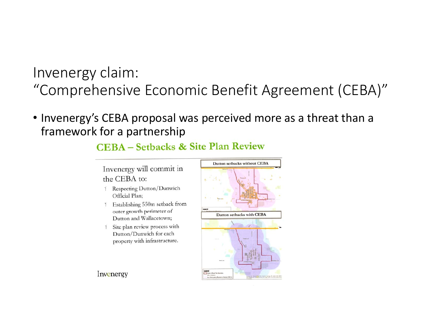#### Invenergy claim: "Comprehensive Economic Benefit Agreement (CEBA)"

• Invenergy's CEBA proposal was perceived more as <sup>a</sup> threat than <sup>a</sup> framework for <sup>a</sup> partnership

#### **CEBA** – Setbacks & Site Plan Review

Invenergy will commit in the CEBA to:

- 1 Respecting Dutton/Dunwich Official Plan;
- 1 Establishing 550m setback from outer growth perimeter of Dutton and Wallacetown;
- Site plan review process with  $\mathbf{1}$ Dutton/Dunwich for each property with infrastructure.



Invenergy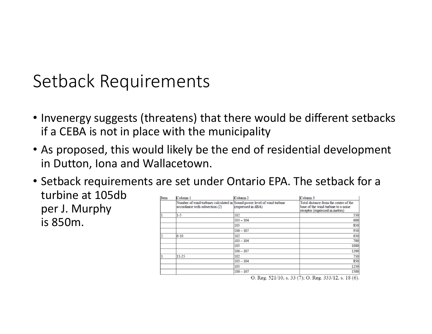### Setback Requirements

- Invenergy suggests (threatens) that there would be different setbacks if a CEBA is not in place with the municipality
- As proposed, this would likely be the end of residential development in Dutton, Iona and Wallacetown.
- Setback requirements are set under Ontario EPA. The setback for <sup>a</sup> turbine at 105db $\mathbf{r}$   $\mathbf{r}$   $\mathbf{r}$   $\mathbf{r}$   $\mathbf{r}$   $\mathbf{r}$   $\mathbf{r}$   $\mathbf{r}$   $\mathbf{r}$ per J. Murphy

is 850m.

| Column <sub>1</sub>            |                    | Column <sub>3</sub>                                                                                            |
|--------------------------------|--------------------|----------------------------------------------------------------------------------------------------------------|
| accordance with subsection (2) | (expressed in dBA) | Total distance from the centre of the<br>base of the wind turbine to a noise<br>receptor (expressed in metres) |
| $1 - 5$                        | 102                | 550                                                                                                            |
|                                | $103 - 104$        | 600                                                                                                            |
|                                | 105                | 850                                                                                                            |
|                                | $106 - 107$        | 950                                                                                                            |
| $6 - 10$                       | 102                | 650                                                                                                            |
|                                | $103 - 104$        | 700                                                                                                            |
|                                | 105                | 1000                                                                                                           |
|                                | $106 - 107$        | 1200                                                                                                           |
| $11 - 25$                      | 102                | 750                                                                                                            |
|                                | $103 - 104$        | 850                                                                                                            |
|                                | 105                | 1250                                                                                                           |
|                                | $106 - 107$        | 1500                                                                                                           |
|                                |                    | Column <sub>2</sub><br>Number of wind turbines calculated in Sound power level of wind turbine                 |

O. Reg.  $521/10$ , s.  $33(7)$ ; O. Reg.  $333/12$ , s.  $18(6)$ .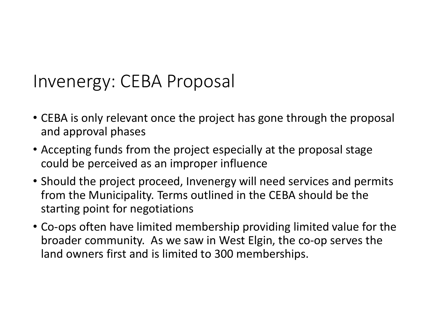#### Invenergy: CEBA Proposal

- CEBA is only relevant once the project has gone through the proposal and approval phases
- Accepting funds from the project especially at the proposal stage could be perceived as an improper influence
- Should the project proceed, Invenergy will need services and permits from the Municipality. Terms outlined in the CEBA should be the starting point for negotiations
- Co‐ops often have limited membership providing limited value for the broader community. As we saw in West Elgin, the co‐op serves the land owners first and is limited to 300 memberships.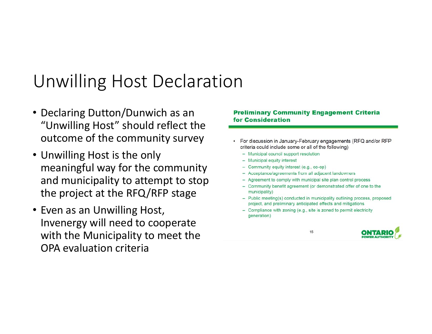## Unwilling Host Declaration

- Declaring Dutton/Dunwich as an "Unwilling Host" should reflect the outcome of the community survey
- Unwilling Host is the only meaningful way for the community and municipality to attempt to stop the project at the RFQ/RFP stage
- Even as an Unwilling Host, Invenergy will need to cooperate with the Municipality to meet the OPA evaluation criteria

#### **Preliminary Community Engagement Criteria** for Consideration

- For discussion in January-February engagements (RFQ and/or RFP criteria could include some or all of the following)
	- Municipal council support resolution
	- Municipal equity interest
	- Community equity interest (e.g., co-op)
	- Acceptance/agreements from all adjacent landowners
	- Agreement to comply with municipal site plan control process
	- Community benefit agreement (or demonstrated offer of one to the municipality)
	- Public meeting(s) conducted in municipality outlining process, proposed project, and preliminary anticipated effects and mitigations
	- Compliance with zoning (e.g., site is zoned to permit electricity generation)

15

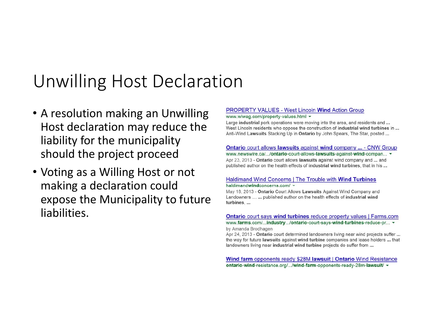### Unwilling Host Declaration

- A resolution making an Unwilling Host declaration may reduce the liability for the municipality should the project proceed
- Voting as <sup>a</sup> Willing Host or not making <sup>a</sup> declaration could expose the Municipality to future liabilities.

#### **PROPERTY VALUES - West Lincoln Wind Action Group**

www.wlwag.com/property-values.html +

Large industrial pork operations were moving into the area, and residents and ... West Lincoln residents who oppose the construction of industrial wind turbines in ... Anti-Wind Lawsuits Stacking Up in Ontario by John Spears, The Star, posted ...

#### **Ontario court allows lawsuits against wind company ... - CNW Group** www.newswire.ca/.../ontario-court-allows-lawsuits-against-wind-compan...  $\star$

Apr 23, 2013 - Ontario court allows lawsuits against wind company and ... and published author on the health effects of industrial wind turbines, that in his ...

#### Haldimand Wind Concerns | The Trouble with Wind Turbines haldimandwindconcerns.com/ -

May 18, 2013 - Ontario Court Allows Lawsuits Against Wind Company and Landowners ... ... published author on the health effects of industrial wind turbines, ...

#### **Ontario** court says wind turbines reduce property values | Farms.com www.farms.com/...industry.../ontario-court-says-wind-turbines-reduce-pr... v

by Amanda Brodhagen

Apr 24, 2013 - Ontario court determined landowners living near wind projects suffer ... the way for future lawsuits against wind turbine companies and lease holders ... that landowners living near industrial wind turbine projects do suffer from ...

**Wind farm** opponents ready \$28M **lawsuit** | Ontario Wind Resistance ontario-wind-resistance.org/.../wind-farm-opponents-ready-28m-lawsuit/ v